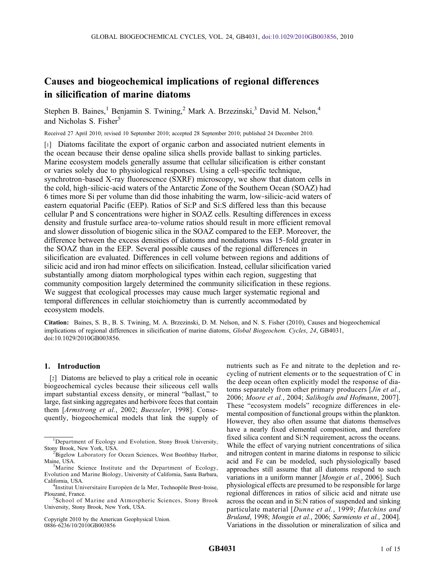# Causes and biogeochemical implications of regional differences in silicification of marine diatoms

Stephen B. Baines,<sup>1</sup> Benjamin S. Twining,<sup>2</sup> Mark A. Brzezinski,<sup>3</sup> David M. Nelson,<sup>4</sup> and Nicholas S. Fisher<sup>5</sup>

Received 27 April 2010; revised 10 September 2010; accepted 28 September 2010; published 24 December 2010.

[1] Diatoms facilitate the export of organic carbon and associated nutrient elements in the ocean because their dense opaline silica shells provide ballast to sinking particles. Marine ecosystem models generally assume that cellular silicification is either constant or varies solely due to physiological responses. Using a cell‐specific technique, synchrotron-based X-ray fluorescence (SXRF) microscopy, we show that diatom cells in the cold, high‐silicic‐acid waters of the Antarctic Zone of the Southern Ocean (SOAZ) had 6 times more Si per volume than did those inhabiting the warm, low‐silicic‐acid waters of eastern equatorial Pacific (EEP). Ratios of Si:P and Si:S differed less than this because cellular P and S concentrations were higher in SOAZ cells. Resulting differences in excess density and frustule surface area‐to‐volume ratios should result in more efficient removal and slower dissolution of biogenic silica in the SOAZ compared to the EEP. Moreover, the difference between the excess densities of diatoms and nondiatoms was 15‐fold greater in the SOAZ than in the EEP. Several possible causes of the regional differences in silicification are evaluated. Differences in cell volume between regions and additions of silicic acid and iron had minor effects on silicification. Instead, cellular silicification varied substantially among diatom morphological types within each region, suggesting that community composition largely determined the community silicification in these regions. We suggest that ecological processes may cause much larger systematic regional and temporal differences in cellular stoichiometry than is currently accommodated by ecosystem models.

Citation: Baines, S. B., B. S. Twining, M. A. Brzezinski, D. M. Nelson, and N. S. Fisher (2010), Causes and biogeochemical implications of regional differences in silicification of marine diatoms, *Global Biogeochem. Cycles*, 24, GB4031, doi:10.1029/2010GB003856.

# 1. Introduction

[2] Diatoms are believed to play a critical role in oceanic biogeochemical cycles because their siliceous cell walls impart substantial excess density, or mineral "ballast," to large, fast sinking aggregates and herbivore feces that contain them [Armstrong et al., 2002; Buesseler, 1998]. Consequently, biogeochemical models that link the supply of

Copyright 2010 by the American Geophysical Union. 0886‐6236/10/2010GB003856

nutrients such as Fe and nitrate to the depletion and recycling of nutrient elements or to the sequestration of C in the deep ocean often explicitly model the response of diatoms separately from other primary producers [*Jin et al.*, 2006; Moore et al., 2004; Salihoglu and Hofmann, 2007]. These "ecosystem models" recognize differences in elemental composition of functional groups within the plankton. However, they also often assume that diatoms themselves have a nearly fixed elemental composition, and therefore fixed silica content and Si:N requirement, across the oceans. While the effect of varying nutrient concentrations of silica and nitrogen content in marine diatoms in response to silicic acid and Fe can be modeled, such physiologically based approaches still assume that all diatoms respond to such variations in a uniform manner [Mongin et al., 2006]. Such physiological effects are presumed to be responsible for large regional differences in ratios of silicic acid and nitrate use across the ocean and in Si:N ratios of suspended and sinking particulate material [Dunne et al., 1999; Hutchins and Bruland, 1998; Mongin et al., 2006; Sarmiento et al., 2004]. Variations in the dissolution or mineralization of silica and

<sup>&</sup>lt;sup>1</sup>Department of Ecology and Evolution, Stony Brook University, Stony Brook, New York, USA. <sup>2</sup>

<sup>&</sup>lt;sup>2</sup>Bigelow Laboratory for Ocean Sciences, West Boothbay Harbor, Maine, USA. <sup>3</sup>

<sup>&</sup>lt;sup>3</sup>Marine Science Institute and the Department of Ecology, Evolution and Marine Biology, University of California, Santa Barbara, California, USA. <sup>4</sup>

<sup>&</sup>lt;sup>4</sup>Institut Universitaire Européen de la Mer, Technopôle Brest-Iroise, Plouzané, France.

<sup>&</sup>lt;sup>5</sup>School of Marine and Atmospheric Sciences, Stony Brook University, Stony Brook, New York, USA.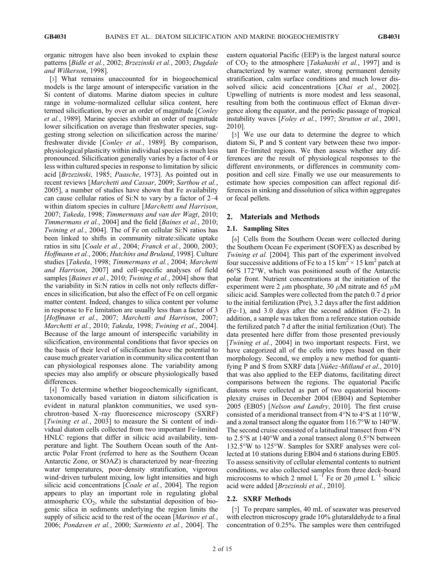organic nitrogen have also been invoked to explain these patterns [Bidle et al., 2002; Brzezinski et al., 2003; Dugdale and Wilkerson, 1998].

[3] What remains unaccounted for in biogeochemical models is the large amount of interspecific variation in the Si content of diatoms. Marine diatom species in culture range in volume‐normalized cellular silica content, here termed silicification, by over an order of magnitude [*Conley* et al., 1989]. Marine species exhibit an order of magnitude lower silicification on average than freshwater species, suggesting strong selection on silicification across the marine/ freshwater divide [Conley et al., 1989]. By comparison, physiological plasticity within individual species is much less pronounced. Silicification generally varies by a factor of 4 or less within cultured species in response to limitation by silicic acid [Brzezinski, 1985; Paasche, 1973]. As pointed out in recent reviews [Marchetti and Cassar, 2009; Sarthou et al., 2005], a number of studies have shown that Fe availability can cause cellular ratios of Si:N to vary by a factor of 2–4 within diatom species in culture [Marchetti and Harrison, 2007; Takeda, 1998; Timmermans and van der Wagt, 2010; Timmermans et al., 2004] and the field [Baines et al., 2010; Twining et al., 2004]. The of Fe on cellular Si:N ratios has been linked to shifts in community nitrate:silicate uptake ratios in situ [Coale et al., 2004; Franck et al., 2000, 2003; Hoffmann et al., 2006; Hutchins and Bruland, 1998]. Culture studies [Takeda, 1998; Timmermans et al., 2004; Marchetti and Harrison, 2007] and cell‐specific analyses of field samples *[Baines et al., 2010; Twining et al., 2004]* show that the variability in Si:N ratios in cells not only reflects differences in silicification, but also the effect of Fe on cell organic matter content. Indeed, changes to silica content per volume in response to Fe limitation are usually less than a factor of 3 [Hoffmann et al., 2007; Marchetti and Harrison, 2007; Marchetti et al., 2010; Takeda, 1998; Twining et al., 2004]. Because of the large amount of interspecific variability in silicification, environmental conditions that favor species on the basis of their level of silicification have the potential to cause much greater variation in community silica content than can physiological responses alone. The variability among species may also amplify or obscure physiologically based differences.

[4] To determine whether biogeochemically significant, taxonomically based variation in diatom silicification is evident in natural plankton communities, we used synchrotron‐based X‐ray fluorescence microscopy (SXRF) [*Twining et al.*, 2003] to measure the Si content of individual diatom cells collected from two important Fe‐limited HNLC regions that differ in silicic acid availability, temperature and light. The Southern Ocean south of the Antarctic Polar Front (referred to here as the Southern Ocean Antarctic Zone, or SOAZ) is characterized by near‐freezing water temperatures, poor-density stratification, vigorous wind-driven turbulent mixing, low light intensities and high silicic acid concentrations [*Coale et al.*, 2004]. The region appears to play an important role in regulating global atmospheric  $CO<sub>2</sub>$ , while the substantial deposition of biogenic silica in sediments underlying the region limits the supply of silicic acid to the rest of the ocean [Marinov et al., 2006; Pondaven et al., 2000; Sarmiento et al., 2004]. The

eastern equatorial Pacific (EEP) is the largest natural source of  $CO<sub>2</sub>$  to the atmosphere [*Takahashi et al.*, 1997] and is characterized by warmer water, strong permanent density stratification, calm surface conditions and much lower dissolved silicic acid concentrations [Chai et al., 2002]. Upwelling of nutrients is more modest and less seasonal, resulting from both the continuous effect of Ekman divergence along the equator, and the periodic passage of tropical instability waves [Foley et al., 1997; Strutton et al., 2001, 2010].

[5] We use our data to determine the degree to which diatom Si, P and S content vary between these two important Fe‐limited regions. We then assess whether any differences are the result of physiological responses to the different environments, or differences in community composition and cell size. Finally we use our measurements to estimate how species composition can affect regional differences in sinking and dissolution of silica within aggregates or fecal pellets.

# 2. Materials and Methods

# 2.1. Sampling Sites

[6] Cells from the Southern Ocean were collected during the Southern Ocean Fe experiment (SOFEX) as described by Twining et al. [2004]. This part of the experiment involved four successive additions of Fe to a 15 km<sup>2</sup>  $\times$  15 km<sup>2</sup> patch at 66°S 172°W, which was positioned south of the Antarctic polar front. Nutrient concentrations at the initiation of the experiment were 2  $\mu$ m phosphate, 30  $\mu$ M nitrate and 65  $\mu$ M silicic acid. Samples were collected from the patch 0.7 d prior to the initial fertilization (Pre), 3.2 days after the first addition (Fe‐1), and 3.0 days after the second addition (Fe‐2). In addition, a sample was taken from a reference station outside the fertilized patch 7 d after the initial fertilization (Out). The data presented here differ from those presented previously [*Twining et al.*, 2004] in two important respects. First, we have categorized all of the cells into types based on their morphology. Second, we employ a new method for quantifying P and S from SXRF data [*Núñez-Milland et al.*, 2010] that was also applied to the EEP diatoms, facilitating direct comparisons between the regions. The equatorial Pacific diatoms were collected as part of two equatorial biocomplexity cruises in December 2004 (EB04) and September 2005 (EB05) [Nelson and Landry, 2010]. The first cruise consisted of a meridional transect from 4°N to 4°S at 110°W, and a zonal transect along the equator from 116.7°W to 140°W. The second cruise consisted of a latitudinal transect from 4°N to 2.5°S at 140°W and a zonal transect along 0.5°N between 132.5°W to 125°W. Samples for SXRF analyses were collected at 10 stations during EB04 and 6 stations during EB05. To assess sensitivity of cellular elemental contents to nutrient conditions, we also collected samples from three deck‐board microcosms to which 2 nmol  $L^{-1}$  Fe or 20  $\mu$ mol  $L^{-1}$  silicic acid were added [Brzezinski et al., 2010].

# 2.2. SXRF Methods

[7] To prepare samples, 40 mL of seawater was preserved with electron microscopy grade 10% glutaraldehyde to a final concentration of 0.25%. The samples were then centrifuged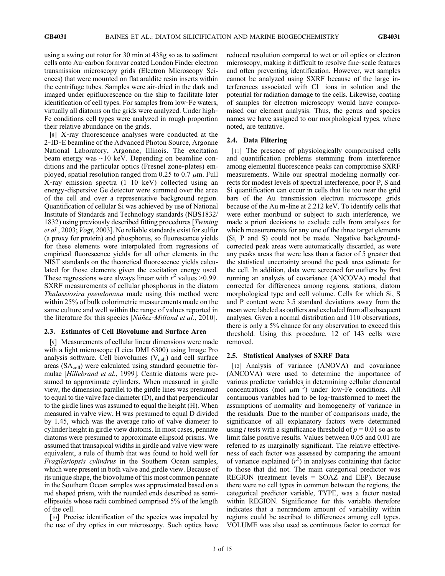using a swing out rotor for 30 min at 438g so as to sediment cells onto Au‐carbon formvar coated London Finder electron transmission microscopy grids (Electron Microscopy Sciences) that were mounted on flat araldite resin inserts within the centrifuge tubes. Samples were air‐dried in the dark and imaged under epifluorescence on the ship to facilitate later identification of cell types. For samples from low‐Fe waters, virtually all diatoms on the grids were analyzed. Under high‐ Fe conditions cell types were analyzed in rough proportion their relative abundance on the grids.

[8] X-ray fluorescence analyses were conducted at the 2‐ID‐E beamline of the Advanced Photon Source, Argonne National Laboratory, Argonne, Illinois. The excitation beam energy was ∼10 keV. Depending on beamline conditions and the particular optics (Fresnel zone‐plates) employed, spatial resolution ranged from 0.25 to 0.7  $\mu$ m. Full X‐ray emission spectra (1–10 keV) collected using an energy‐dispersive Ge detector were summed over the area of the cell and over a representative background region. Quantification of cellular Si was achieved by use of National Institute of Standards and Technology standards (NBS1832/ 1832) using previously described fitting procedures [Twining et al., 2003; Vogt, 2003]. No reliable standards exist for sulfur (a proxy for protein) and phosphorus, so fluorescence yields for these elements were interpolated from regressions of empirical fluorescence yields for all other elements in the NIST standards on the theoretical fluorescence yields calculated for those elements given the excitation energy used. These regressions were always linear with  $r^2$  values >0.99. SXRF measurements of cellular phosphorus in the diatom Thalassiosira pseudonana made using this method were within 25% of bulk colorimetric measurements made on the same culture and well within the range of values reported in the literature for this species [*Núñez* -*Milland et al.*, 2010].

#### 2.3. Estimates of Cell Biovolume and Surface Area

[9] Measurements of cellular linear dimensions were made with a light microscope (Leica DMI 6300) using Image Pro analysis software. Cell biovolumes  $(V_{cell})$  and cell surface areas  $(SA_{cell})$  were calculated using standard geometric formulae [*Hillebrand et al.*, 1999]. Centric diatoms were presumed to approximate cylinders. When measured in girdle view, the dimension parallel to the girdle lines was presumed to equal to the valve face diameter (D), and that perpendicular to the girdle lines was assumed to equal the height (H). When measured in valve view, H was presumed to equal D divided by 1.45, which was the average ratio of valve diameter to cylinder height in girdle view diatoms. In most cases, pennate diatoms were presumed to approximate ellipsoid prisms. We assumed that transapical widths in girdle and valve view were equivalent, a rule of thumb that was found to hold well for Fragilariopsis cylindrus in the Southern Ocean samples, which were present in both valve and girdle view. Because of its unique shape, the biovolume of this most common pennate in the Southern Ocean samples was approximated based on a rod shaped prism, with the rounded ends described as semi‐ ellipsoids whose radii combined comprised 5% of the length of the cell.

[10] Precise identification of the species was impeded by the use of dry optics in our microscopy. Such optics have

reduced resolution compared to wet or oil optics or electron microscopy, making it difficult to resolve fine‐scale features and often preventing identification. However, wet samples cannot be analyzed using SXRF because of the large interferences associated with Cl<sup>−</sup> ions in solution and the potential for radiation damage to the cells. Likewise, coating of samples for electron microscopy would have compromised our element analysis. Thus, the genus and species names we have assigned to our morphological types, where noted, are tentative.

#### 2.4. Data Filtering

[11] The presence of physiologically compromised cells and quantification problems stemming from interference among elemental fluorescence peaks can compromise SXRF measurements. While our spectral modeling normally corrects for modest levels of spectral interference, poor P, S and Si quantification can occur in cells that lie too near the grid bars of the Au transmission electron microscope grids because of the Au m‐line at 2.212 keV. To identify cells that were either moribund or subject to such interference, we made a priori decisions to exclude cells from analyses for which measurements for any one of the three target elements (Si, P and S) could not be made. Negative background‐ corrected peak areas were automatically discarded, as were any peaks areas that were less than a factor of 5 greater that the statistical uncertainty around the peak area estimate for the cell. In addition, data were screened for outliers by first running an analysis of covariance (ANCOVA) model that corrected for differences among regions, stations, diatom morphological type and cell volume. Cells for which Si, S and P content were 3.5 standard deviations away from the mean were labeled as outliers and excluded from all subsequent analyses. Given a normal distribution and 110 observations, there is only a 5% chance for any observation to exceed this threshold. Using this procedure, 12 of 143 cells were removed.

# 2.5. Statistical Analyses of SXRF Data

[12] Analysis of variance (ANOVA) and covariance (ANCOVA) were used to determine the importance of various predictor variables in determining cellular elemental concentrations (mol  $\mu$ m<sup>-3</sup>) under low-Fe conditions. All continuous variables had to be log‐transformed to meet the assumptions of normality and homogeneity of variance in the residuals. Due to the number of comparisons made, the significance of all explanatory factors were determined using t tests with a significance threshold of  $p = 0.01$  so as to limit false positive results. Values between 0.05 and 0.01 are referred to as marginally significant. The relative effectiveness of each factor was assessed by comparing the amount of variance explained  $(r^2)$  in analyses containing that factor to those that did not. The main categorical predictor was REGION (treatment levels = SOAZ and EEP). Because there were no cell types in common between the regions, the categorical predictor variable, TYPE, was a factor nested within REGION. Significance for this variable therefore indicates that a nonrandom amount of variability within regions could be ascribed to differences among cell types. VOLUME was also used as continuous factor to correct for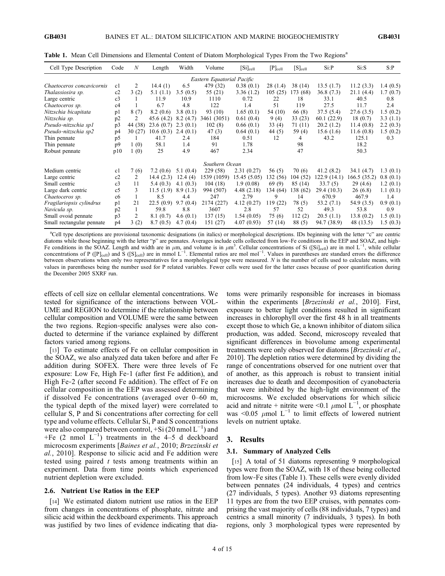| Cell Type Description     | Code           | $\boldsymbol{N}$ | Length    | Width       | Volume                     | $[Si]_{cell}$ | $[P]_{cell}$ | $[S]_{cell}$ | Si: P        | Si:S         | S: P     |
|---------------------------|----------------|------------------|-----------|-------------|----------------------------|---------------|--------------|--------------|--------------|--------------|----------|
|                           |                |                  |           |             | Eastern Equatorial Pacific |               |              |              |              |              |          |
| Chaetoceros concavicornis | c1             | 2                | 14.4(1)   | 6.5         | 479 (32)                   | 0.38(0.1)     | 28 (1.4)     | 38 (14)      | 13.5(1.7)    | 11.2(3.3)    | 1.4(0.5) |
| Thalassiosira sp.         | c2             | 3(2)             | 5.1(1.1)  | 3.5(0.5)    | 55 (21)                    | 3.36(1.2)     | 105(25)      | 173 (68)     | 36.8(7.3)    | 21.1(4.4)    | 1.7(0.7) |
| Large centric             | c3             |                  | 11.9      | 10.9        | 1110                       | 0.72          | 22           | 18           | 33.1         | 40.5         | 0.8      |
| Chaetoceros sp.           | c4             |                  | 6.7       | 4.8         | 122                        | 1.4           | 51           | 119          | 27.5         | 11.7         | 2.4      |
| Nitzschia bicapitata      | pl             | 8(7)             | 8.2(0.6)  | 3.8(0.1)    | 93 (10)                    | 1.65(0.1)     | 54 (10)      | 66 (8)       | 37.5(5.4)    | 27.6(3.5)    | 1.5(0.2) |
| Nitzschia sp.             | p2             | 2                | 45.6(4.2) | 8.2(4.7)    | 3461 (3051)                | 0.61(0.4)     | 9(4)         | 33(23)       | 60.1(22.9)   | 18(0.7)      | 3.3(1.1) |
| Pseudo-nitzschia sp1      | p3             | 44 (38)          | 23.6(0.7) | 2.3(0.1)    | 102(8)                     | 0.66(0.1)     | 33(4)        | 71 (11)      | 20.2(1.2)    | 11.4(0.8)    | 2.2(0.3) |
| Pseudo-nitzschia sp2      | p4             | 30(27)           | 10.6(0.3) | 2.4(0.1)    | 47(3)                      | 0.64(0.1)     | 44 (5)       | 59 $(4)$     | 15.6(1.6)    | 11.6(0.8)    | 1.5(0.2) |
| Thin pennate              | p5             |                  | 41.7      | 2.4         | 184                        | 0.51          | 12           | 4            | 43.2         | 125.1        | 0.3      |
| Thin pennate              | p9             | 1(0)             | 58.1      | 1.4         | 91                         | 1.78          |              | 98           |              | 18.2         |          |
| Robust pennate            | p10            | 1(0)             | 25        | 4.9         | 467                        | 2.34          |              | 47           |              | 50.3         |          |
|                           |                |                  |           |             | Southern Ocean             |               |              |              |              |              |          |
| Medium centric            | c1             | 7(6)             | 7.2(0.6)  | 5.1(0.4)    | 229 (58)                   | 2.31(0.27)    | 56 (5)       | 70 (6)       | 41.2(8.2)    | 34.1(4.7)    | 1.3(0.1) |
| Large centric             | c2             | 2                | 14.4(2.3) | 12.4(4)     | 1539 (1059)                | 15.45(5.05)   | 132 (56)     | 104 (52)     | 122.9 (14.1) | 166.5 (35.2) | 0.8(0.1) |
| Small centric             | c3             | 11               | 5.4(0.3)  | 4.1(0.3)    | 104(18)                    | 1.9(0.08)     | 69(9)        | 85 (14)      | 33.7(5)      | 29(4.6)      | 1.2(0.1) |
| Large dark centric        | c <sub>5</sub> | 3                | 11.5(1.9) | 8.9(1.3)    | 994 (507)                  | 4.48(2.18)    | 134 (64)     | 138 (62)     | 29.4 (10.3)  | 26 (6.8)     | 1.1(0.1) |
| Chaetoceros sp.           | c6             | 1                | 8.5       | 4.4         | 247                        | 2.79          | 9            | 14           | 670.9        | 467.9        | 1.4      |
| Fragilariopsis cylindrus  | p1             | 21               | 22.5(0.9) | 9.7(0.4)    | 2174 (227)                 | 4.12(0.27)    | 119 (22)     | 78 (5)       | 53.2(7.1)    | 54.9(3.5)    | 0.9(0.1) |
| Navicula sp.              | p2             | 1                | 59.8      | 8.8         | 3607                       | 2.8           | 57           | 52           | 49.3         | 53.8         | 0.9      |
| Small ovoid pennate       | p3             | 2                | 8.1(0.7)  | 4.6 $(0.1)$ | 137(15)                    | 1.54(0.05)    | 75 (6)       | 112(2)       | 20.5(1.1)    | 13.8(0.2)    | 1.5(0.1) |
| Small rectangular pennate | p4             | 3(2)             | 8.7(0.5)  | 4.7(0.4)    | 151 (27)                   | 4.07(0.93)    | 57 (14)      | 88 (5)       | 94.7 (38.9)  | 48 (13.5)    | 1.5(0.3) |

Table 1. Mean Cell Dimensions and Elemental Content of Diatom Morphological Types From the Two Regions<sup>a</sup>

<sup>a</sup>Cell type descriptions are provisional taxonomic designations (in italics) or morphological descriptions. IDs beginning with the letter "c" are centric diatoms while those beginning with the letter "p" are pennates. Averages include cells collected from low-Fe conditions in the EEP and SOAZ, and high-Fe conditions in the SOAZ. Length and width are in  $\mu$ m, and volume is in  $\mu$ m<sup>3</sup>. Cellular concentrations of Si ([Si]<sub>cell</sub>) are in mol L<sup>-1</sup>, while cellular concentrations of P ( $[P]_{cell}$ ) and S ( $[S]_{cell}$ ) are in mmol L<sup>-1</sup>. Elemental ratios are mol mol<sup>-1</sup>. Values in parentheses are standard errors the difference between observations when only two representatives for a morphological type were measured. N is the number of cells used to calculate means, with values in parentheses being the number used for P related variables. Fewer cells were used for the latter cases because of poor quantification during the December 2005 SXRF run.

effects of cell size on cellular elemental concentrations. We tested for significance of the interactions between VOL-UME and REGION to determine if the relationship between cellular composition and VOLUME were the same between the two regions. Region‐specific analyses were also conducted to determine if the variance explained by different factors varied among regions.

[13] To estimate effects of Fe on cellular composition in the SOAZ, we also analyzed data taken before and after Fe addition during SOFEX. There were three levels of Fe exposure: Low Fe, High Fe‐1 (after first Fe addition), and High Fe‐2 (after second Fe addition). The effect of Fe on cellular composition in the EEP was assessed determining if dissolved Fe concentrations (averaged over 0–60 m, the typical depth of the mixed layer) were correlated to cellular S, P and Si concentrations after correcting for cell type and volume effects. Cellular Si, P and S concentrations were also compared between control, +Si (20 nmol  $L^{-1}$ ) and +Fe  $(2 \text{ nmol}^{\text{-}1})$  treatments in the 4–5 d deckboard microcosm experiments [Baines et al., 2010; Brzezinski et al., 2010]. Response to silicic acid and Fe addition were tested using paired  $t$  tests among treatments within an experiment. Data from time points which experienced nutrient depletion were excluded.

# 2.6. Nutrient Use Ratios in the EEP

[14] We estimated diatom nutrient use ratios in the EEP from changes in concentrations of phosphate, nitrate and silicic acid within the deckboard experiments. This approach was justified by two lines of evidence indicating that diatoms were primarily responsible for increases in biomass within the experiments [*Brzezinski et al.*, 2010]. First, exposure to better light conditions resulted in significant increases in chlorophyll over the first 48 h in all treatments except those to which Ge, a known inhibitor of diatom silica production, was added. Second, microscopy revealed that significant differences in biovolume among experimental treatments were only observed for diatoms [Brzezinski et al., 2010]. The depletion ratios were determined by dividing the range of concentrations observed for one nutrient over that of another, as this approach is robust to transient initial increases due to death and decomposition of cyanobacteria that were inhibited by the high‐light environment of the microcosms. We excluded observations for which silicic acid and nitrate + nitrite were <0.1  $\mu$ mol L<sup>-1</sup>, or phosphate was <0.05  $\mu$ mol L<sup>-1</sup> to limit effects of lowered nutrient levels on nutrient uptake.

#### 3. Results

# 3.1. Summary of Analyzed Cells

[15] A total of 51 diatoms representing 9 morphological types were from the SOAZ, with 18 of these being collected from low‐Fe sites (Table 1). These cells were evenly divided between pennates (24 individuals, 4 types) and centrics (27 individuals, 5 types). Another 93 diatoms representing 11 types are from the two EEP cruises, with pennates comprising the vast majority of cells (88 individuals, 7 types) and centrics a small minority (7 individuals, 3 types). In both regions, only 3 morphological types were represented by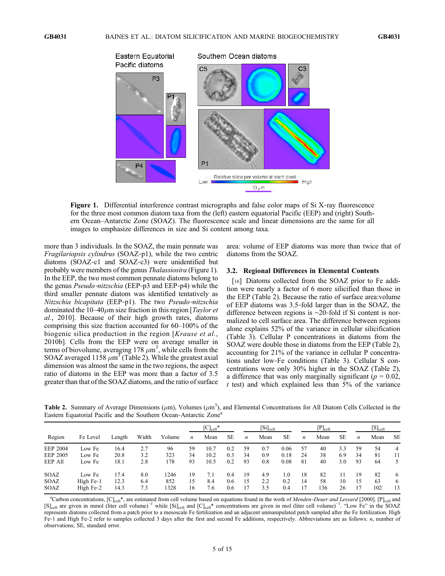

Figure 1. Differential interference contrast micrographs and false color maps of Si X-ray fluorescence for the three most common diatom taxa from the (left) eastern equatorial Pacific (EEP) and (right) Southern Ocean–Antarctic Zone (SOAZ). The fluorescence scale and linear dimensions are the same for all images to emphasize differences in size and Si content among taxa.

more than 3 individuals. In the SOAZ, the main pennate was Fragilariopsis cylindrus (SOAZ‐p1), while the two centric diatoms (SOAZ‐c1 and SOAZ‐c3) were unidentified but probably were members of the genus Thalassiosira (Figure 1). In the EEP, the two most common pennate diatoms belong to the genus Pseudo-nitzschia (EEP-p3 and EEP-p4) while the third smaller pennate diatom was identified tentatively as Nitzschia bicapitata (EEP-p1). The two Pseudo-nitzschia dominated the  $10-40\mu$ m size fraction in this region [*Taylor et* al., 2010]. Because of their high growth rates, diatoms comprising this size fraction accounted for 60–100% of the biogenic silica production in the region [Krause et al., 2010b]. Cells from the EEP were on average smaller in terms of biovolume, averaging 178  $\mu$ m<sup>3</sup>, while cells from the SOAZ averaged 1158  $\mu$ m<sup>3</sup> (Table 2). While the greatest axial dimension was almost the same in the two regions, the aspect ratio of diatoms in the EEP was more than a factor of 3.5 greater than that of the SOAZ diatoms, and the ratio of surface area: volume of EEP diatoms was more than twice that of diatoms from the SOAZ.

# 3.2. Regional Differences in Elemental Contents

[16] Diatoms collected from the SOAZ prior to Fe addition were nearly a factor of 6 more silicified than those in the EEP (Table 2). Because the ratio of surface area:volume of EEP diatoms was 3.5‐fold larger than in the SOAZ, the difference between regions is ∼20‐fold if Si content is normalized to cell surface area. The difference between regions alone explains 52% of the variance in cellular silicification (Table 3). Cellular P concentrations in diatoms from the SOAZ were double those in diatoms from the EEP (Table 2), accounting for 21% of the variance in cellular P concentrations under low‐Fe conditions (Table 3). Cellular S concentrations were only 30% higher in the SOAZ (Table 2), a difference that was only marginally significant ( $p = 0.02$ ,  $t$  test) and which explained less than  $5\%$  of the variance

Table 2. Summary of Average Dimensions ( $\mu$ m), Volumes ( $\mu$ m<sup>3</sup>), and Elemental Concentrations for All Diatom Cells Collected in the Eastern Equatorial Pacific and the Southern Ocean-Antarctic Zone<sup>a</sup>

|                 |           |        |       |        |                  | $[C]_{cell}^*$ |           |                  | $[Si]_{cell}$ |           |                  | $[P]_{\rm cell}$ |           |    | $[S]_{cell}$ |           |
|-----------------|-----------|--------|-------|--------|------------------|----------------|-----------|------------------|---------------|-----------|------------------|------------------|-----------|----|--------------|-----------|
| Region          | Fe Level  | Length | Width | Volume | $\boldsymbol{n}$ | Mean           | <b>SE</b> | $\boldsymbol{n}$ | Mean          | <b>SE</b> | $\boldsymbol{n}$ | Mean             | <b>SE</b> | n  | Mean         | <b>SE</b> |
| <b>EEP 2004</b> | Low Fe    | 16.4   | 2.7   | 96     | 59               | 10.7           | 0.2       | 59               | 0.7           | 0.06      | 57               | 40               | 3.3       | 59 | 54           | 4         |
| <b>EEP 2005</b> | Low Fe    | 20.8   | 3.2   | 323    | 34               | 10.2           | 0.3       | 34               | 0.9           | 0.18      | 24               | 38               | 6.9       | 34 | 81           | 11        |
| EEP All         | Low Fe    | 18.1   | 2.8   | 178    | 93               | 10.5           | 0.2       | 93               | 0.8           | 0.08      | 81               | 40               | 3.0       | 93 | 64           |           |
| <b>SOAZ</b>     | Low Fe    | 17.4   | 8.0   | 1246   | 19               | 7.1            | 0.4       | 19               | 4.9           | 1.0       | 18               | 82               |           | 19 | 82           | 6         |
| SOAZ            | High Fe-1 | 12.3   | 6.4   | 852    | 15               | 8.4            | 0.6       | 15               | 2.2           | 0.2       | 14               | 58               | 10        | 15 | 63           | 6         |
| SOAZ            | High Fe-2 | 14.3   | 7.3   | 328    | 16               | 7.6            | 0.6       |                  | 3.5           | 0.4       |                  | 136              | 26        | 17 | 102          | 13        |

<sup>a</sup>Carbon concentrations, [C]<sub>cell</sub>\*, are estimated from cell volume based on equations found in the work of Menden-Deuer and Lessard [2000]. [P]<sub>cell</sub> and [S]<sub>cell</sub> are given in mmol (liter cell volume)<sup>-1</sup> while [Si]<sub>cell</sub> and [C]<sub>cell</sub>\* concentrations are given in mol (liter cell volume)<sup>-1</sup>. "Low Fe" in the SOAZ represents diatoms collected from a patch prior to a mesoscale Fe fertilization and an adjacent unmanipulated patch sampled after the Fe fertilization. High Fe-1 and High Fe-2 refer to samples collected 3 days after the first and second Fe additions, respectively. Abbreviations are as follows: n, number of observations; SE, standard error.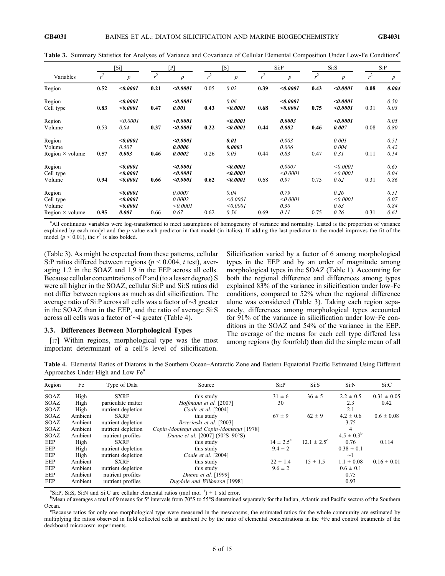|                                                         | [Si]  |                                           | $[{\rm P}]$ |                                      | [S]   |                                      | Si:P           |                                  | Si:S  |                                  | S: P  |                              |
|---------------------------------------------------------|-------|-------------------------------------------|-------------|--------------------------------------|-------|--------------------------------------|----------------|----------------------------------|-------|----------------------------------|-------|------------------------------|
| Variables                                               | $r^2$ | $\boldsymbol{p}$                          | $r^2$       | $\boldsymbol{p}$                     | $r^2$ | $\boldsymbol{p}$                     | r <sup>2</sup> | $\boldsymbol{p}$                 | $r^2$ | $\boldsymbol{p}$                 | $r^2$ | $\boldsymbol{p}$             |
| Region                                                  | 0.52  | < 0.0001                                  | 0.21        | < 0.0001                             | 0.05  | 0.02                                 | 0.39           | < 0.0001                         | 0.43  | < 0.0001                         | 0.08  | 0.004                        |
| Region<br>Cell type                                     | 0.83  | < 0.0001<br>< 0.0001                      | 0.47        | < 0.0001<br>0.001                    | 0.43  | 0.06<br>< 0.0001                     | 0.68           | < 0.0001<br>< 0.0001             | 0.75  | < 0.0001<br>< 0.0001             | 0.31  | 0.50<br>0.03                 |
| Region<br>Volume                                        | 0.53  | < 0.0001<br>0.04                          | 0.37        | < 0.0001<br>< 0.0001                 | 0.22  | < 0.0001<br>< 0.0001                 | 0.44           | 0.0003<br>0.002                  | 0.46  | < 0.0001<br>0.007                | 0.08  | 0.05<br>0.80                 |
| Region<br>Volume<br>Region $\times$ volume              | 0.57  | < 0.0001<br>0.507<br>0.003                | 0.46        | < 0.0001<br>0.0006<br>0.0002         | 0.26  | 0.01<br>0.0003<br>0.03               | 0.44           | 0.003<br>0.006<br>0.83           | 0.47  | 0.001<br>0.004<br>0.31           | 0.11  | 0.51<br>0.42<br>0.14         |
| Region<br>Cell type<br>Volume                           | 0.94  | < 0.0001<br>< 0.0001<br>< 0.0001          | 0.66        | < 0.0001<br>< 0.0001<br>< 0.0001     | 0.62  | < 0.0001<br>< 0.0001<br>< 0.0001     | 0.68           | 0.0007<br>< 0.0001<br>0.97       | 0.75  | < 0.0001<br>< 0.0001<br>0.62     | 0.31  | 0.65<br>0.04<br>0.86         |
| Region<br>Cell type<br>Volume<br>Region $\times$ volume | 0.95  | < 0.0001<br>< 0.0001<br>< 0.0001<br>0.001 | 0.66        | 0.0007<br>0.0002<br>< 0.0001<br>0.67 | 0.62  | 0.04<br>< 0.0001<br>< 0.0001<br>0.56 | 0.69           | 0.79<br>< 0.0001<br>0.30<br>0.11 | 0.75  | 0.26<br>< 0.0001<br>0.63<br>0.26 | 0.31  | 0.51<br>0.07<br>0.84<br>0.61 |

Table 3. Summary Statistics for Analyses of Variance and Covariance of Cellular Elemental Composition Under Low-Fe Conditions<sup>a</sup>

a<br>All continuous variables were log-transformed to meet assumptions of homogeneity of variance and normality. Listed is the proportion of variance explained by each model and the  $p$  value each predictor in that model (in italics). If adding the last predictor to the model improves the fit of the model ( $p < 0.01$ ), the  $r^2$  is also bolded.

(Table 3). As might be expected from these patterns, cellular S:P ratios differed between regions ( $p \le 0.004$ , t test), averaging 1.2 in the SOAZ and 1.9 in the EEP across all cells. Because cellular concentrations of P and (to a lesser degree) S were all higher in the SOAZ, cellular Si:P and Si:S ratios did not differ between regions as much as did silicification. The average ratio of Si:P across all cells was a factor of ∼3 greater in the SOAZ than in the EEP, and the ratio of average Si:S across all cells was a factor of ∼4 greater (Table 4).

#### 3.3. Differences Between Morphological Types

[17] Within regions, morphological type was the most important determinant of a cell's level of silicification.

Silicification varied by a factor of 6 among morphological types in the EEP and by an order of magnitude among morphological types in the SOAZ (Table 1). Accounting for both the regional difference and differences among types explained 83% of the variance in silicification under low‐Fe conditions, compared to 52% when the regional difference alone was considered (Table 3). Taking each region separately, differences among morphological types accounted for 91% of the variance in silicification under low-Fe conditions in the SOAZ and 54% of the variance in the EEP. The average of the means for each cell type differed less among regions (by fourfold) than did the simple mean of all

Table 4. Elemental Ratios of Diatoms in the Southern Ocean–Antarctic Zone and Eastern Equatorial Pacific Estimated Using Different Approaches Under High and Low Fe<sup>a</sup>

| Region      | Fe      | Type of Data       | Source                                   | Si:P                 | Si:                    | Si:N            | Si:C            |
|-------------|---------|--------------------|------------------------------------------|----------------------|------------------------|-----------------|-----------------|
| SOAZ        | High    | <b>SXRF</b>        | this study                               | $31 \pm 6$           | $36 \pm 5$             | $2.2 \pm 0.5$   | $0.31 \pm 0.05$ |
| <b>SOAZ</b> | High    | particulate matter | Hoffmann et al. [2007]                   | 30                   |                        | 2.3             | 0.42            |
| SOAZ        | High    | nutrient depletion | Coale et al. [2004]                      |                      |                        | 2.1             |                 |
| <b>SOAZ</b> | Ambient | <b>SXRF</b>        | this study                               | $67 \pm 9$           | $62 \pm 9$             | $4.2 \pm 0.6$   | $0.6 \pm 0.08$  |
| <b>SOAZ</b> | Ambient | nutrient depletion | Brzezinski et al. [2003]                 |                      |                        | 3.75            |                 |
| <b>SOAZ</b> | Ambient | nutrient depletion | Copin-Montegut and Copin-Montegut [1978] |                      |                        | $\overline{4}$  |                 |
| <b>SOAZ</b> | Ambient | nutrient profiles  | Dunne et al. [2007] (50°S-90°S)          |                      |                        | $4.5 \pm 0.3^b$ |                 |
| EEP         | High    | <b>SXRF</b>        | this study                               | $14 \pm 2.5^{\circ}$ | $12.1 \pm 2.5^{\circ}$ | 0.76            | 0.114           |
| EEP         | High    | nutrient depletion | this study                               | $9.4 \pm 2$          |                        | $0.38 \pm 0.1$  |                 |
| EEP         | High    | nutrient depletion | Coale et al. [2004]                      |                      |                        | $\sim$ 1        |                 |
| EEP         | Ambient | <b>SXRF</b>        | this study                               | $22 \pm 1.4$         | $15 \pm 1.5$           | $1.1 \pm 0.08$  | $0.16 \pm 0.01$ |
| EEP         | Ambient | nutrient depletion | this study                               | $9.6 \pm 2$          |                        | $0.6 \pm 0.1$   |                 |
| EEP         | Ambient | nutrient profiles  | Dunne et al. [1999]                      |                      |                        | 0.75            |                 |
| EEP         | Ambient | nutrient profiles  | Dugdale and Wilkerson [1998]             |                      |                        | 0.93            |                 |

<sup>a</sup>Si:P, Si:S, Si:N and Si:C are cellular elemental ratios (mol mol<sup>-1</sup>) ± 1 std error.

<sup>b</sup>Mean of averages a total of 9 means for 5° intervals from 70°S to 55°S determined separately for the Indian, Atlantic and Pacific sectors of the Southern Ocean.

Because ratios for only one morphological type were measured in the mesocosms, the estimated ratios for the whole community are estimated by multiplying the ratios observed in field collected cells at ambient Fe by the ratio of elemental concentrations in the +Fe and control treatments of the deckboard microcosm experiments.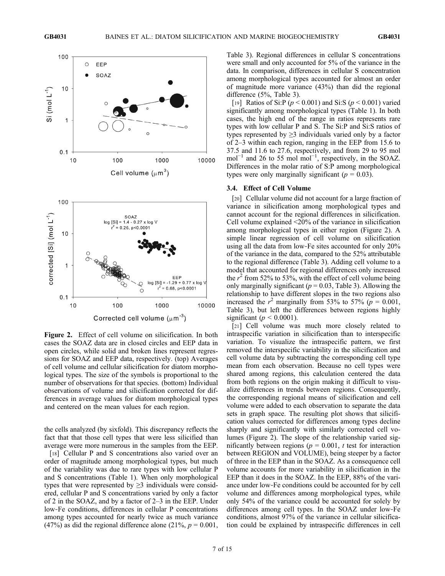

Figure 2. Effect of cell volume on silicification. In both cases the SOAZ data are in closed circles and EEP data in open circles, while solid and broken lines represent regressions for SOAZ and EEP data, respectively. (top) Averages of cell volume and cellular silicification for diatom morphological types. The size of the symbols is proportional to the number of observations for that species. (bottom) Individual observations of volume and silicification corrected for differences in average values for diatom morphological types and centered on the mean values for each region.

the cells analyzed (by sixfold). This discrepancy reflects the fact that that those cell types that were less silicified than average were more numerous in the samples from the EEP.

[18] Cellular P and S concentrations also varied over an order of magnitude among morphological types, but much of the variability was due to rare types with low cellular P and S concentrations (Table 1). When only morphological types that were represented by  $\geq$ 3 individuals were considered, cellular P and S concentrations varied by only a factor of 2 in the SOAZ, and by a factor of 2–3 in the EEP. Under low‐Fe conditions, differences in cellular P concentrations among types accounted for nearly twice as much variance (47%) as did the regional difference alone (21%,  $p = 0.001$ ,

Table 3). Regional differences in cellular S concentrations were small and only accounted for 5% of the variance in the data. In comparison, differences in cellular S concentration among morphological types accounted for almost an order of magnitude more variance (43%) than did the regional difference (5%, Table 3).

[19] Ratios of Si: P ( $p < 0.001$ ) and Si: S ( $p < 0.001$ ) varied significantly among morphological types (Table 1). In both cases, the high end of the range in ratios represents rare types with low cellular P and S. The Si:P and Si:S ratios of types represented by  $\geq$ 3 individuals varied only by a factor of 2–3 within each region, ranging in the EEP from 15.6 to 37.5 and 11.6 to 27.6, respectively, and from 29 to 95 mol mol<sup>-1</sup> and 26 to 55 mol mol<sup>-1</sup>, respectively, in the SOAZ. Differences in the molar ratio of S:P among morphological types were only marginally significant ( $p = 0.03$ ).

# 3.4. Effect of Cell Volume

[20] Cellular volume did not account for a large fraction of variance in silicification among morphological types and cannot account for the regional differences in silicification. Cell volume explained <20% of the variance in silicification among morphological types in either region (Figure 2). A simple linear regression of cell volume on silicification using all the data from low‐Fe sites accounted for only 20% of the variance in the data, compared to the 52% attributable to the regional difference (Table 3). Adding cell volume to a model that accounted for regional differences only increased the  $r^2$  from 52% to 53%, with the effect of cell volume being only marginally significant ( $p = 0.03$ , Table 3). Allowing the relationship to have different slopes in the two regions also increased the  $r^2$  marginally from 53% to 57% ( $p = 0.001$ , Table 3), but left the differences between regions highly significant ( $p < 0.0001$ ).

[21] Cell volume was much more closely related to intraspecific variation in silicification than to interspecific variation. To visualize the intraspecific pattern, we first removed the interspecific variability in the silicification and cell volume data by subtracting the corresponding cell type mean from each observation. Because no cell types were shared among regions, this calculation centered the data from both regions on the origin making it difficult to visualize differences in trends between regions. Consequently, the corresponding regional means of silicification and cell volume were added to each observation to separate the data sets in graph space. The resulting plot shows that silicification values corrected for differences among types decline sharply and significantly with similarly corrected cell volumes (Figure 2). The slope of the relationship varied significantly between regions ( $p = 0.001$ , t test for interaction between REGION and VOLUME), being steeper by a factor of three in the EEP than in the SOAZ. As a consequence cell volume accounts for more variability in silicification in the EEP than it does in the SOAZ. In the EEP, 88% of the variance under low‐Fe conditions could be accounted for by cell volume and differences among morphological types, while only 54% of the variance could be accounted for solely by differences among cell types. In the SOAZ under low‐Fe conditions, almost 97% of the variance in cellular silicification could be explained by intraspecific differences in cell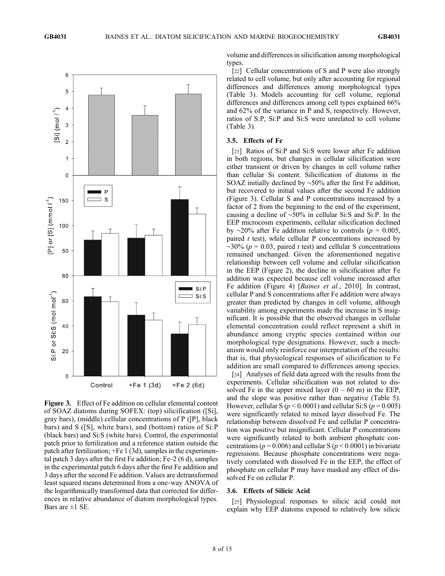

Figure 3. Effect of Fe addition on cellular elemental content of SOAZ diatoms during SOFEX: (top) silicification ([Si], gray bars), (middle) cellular concentrations of P ([P], black bars) and S ([S], white bars), and (bottom) ratios of Si:P (black bars) and Si:S (white bars). Control, the experimental patch prior to fertilization and a reference station outside the patch after fertilization; +Fe 1 (3d), samples in the experimental patch 3 days after the first Fe addition; Fe‐2 (6 d), samples in the experimental patch 6 days after the first Fe addition and 3 days after the second Fe addition. Values are detransformed least squared means determined from a one‐way ANOVA of the logarithmically transformed data that corrected for differences in relative abundance of diatom morphological types. Bars are  $\pm 1$  SE.

volume and differences in silicification among morphological types.

[22] Cellular concentrations of S and P were also strongly related to cell volume, but only after accounting for regional differences and differences among morphological types (Table 3). Models accounting for cell volume, regional differences and differences among cell types explained 66% and 62% of the variance in P and S, respectively. However, ratios of S:P, Si:P and Si:S were unrelated to cell volume (Table 3).

## 3.5. Effects of Fe

[23] Ratios of Si:P and Si:S were lower after Fe addition in both regions, but changes in cellular silicification were either transient or driven by changes in cell volume rather than cellular Si content. Silicification of diatoms in the SOAZ initially declined by ∼50% after the first Fe addition, but recovered to initial values after the second Fe addition (Figure 3). Cellular S and P concentrations increased by a factor of 2 from the beginning to the end of the experiment, causing a decline of ∼50% in cellular Si:S and Si:P. In the EEP microcosm experiments, cellular silicification declined by ∼20% after Fe addition relative to controls ( $p = 0.005$ , paired  $t$  test), while cellular  $P$  concentrations increased by  $\sim$ 30% ( $p = 0.03$ , paired t test) and cellular S concentrations remained unchanged. Given the aforementioned negative relationship between cell volume and cellular silicification in the EEP (Figure 2), the decline in silicification after Fe addition was expected because cell volume increased after Fe addition (Figure 4) [Baines et al., 2010]. In contrast, cellular P and S concentrations after Fe addition were always greater than predicted by changes in cell volume, although variability among experiments made the increase in S insignificant. It is possible that the observed changes in cellular elemental concentration could reflect represent a shift in abundance among cryptic species contained within our morphological type designations. However, such a mechanism would only reinforce our interpretation of the results: that is, that physiological responses of silicification to Fe addition are small compared to differences among species.

[24] Analyses of field data agreed with the results from the experiments. Cellular silicification was not related to dissolved Fe in the upper mixed layer  $(0 - 60 \text{ m})$  in the EEP, and the slope was positive rather than negative (Table 5). However, cellular S ( $p < 0.0001$ ) and cellular Si:S ( $p = 0.005$ ) were significantly related to mixed layer dissolved Fe. The relationship between dissolved Fe and cellular P concentration was positive but insignificant. Cellular P concentrations were significantly related to both ambient phosphate concentrations ( $p = 0.006$ ) and cellular S ( $p \le 0.0001$ ) in bivariate regressions. Because phosphate concentrations were negatively correlated with dissolved Fe in the EEP, the effect of phosphate on cellular P may have masked any effect of dissolved Fe on cellular P.

# 3.6. Effects of Silicic Acid

[25] Physiological responses to silicic acid could not explain why EEP diatoms exposed to relatively low silicic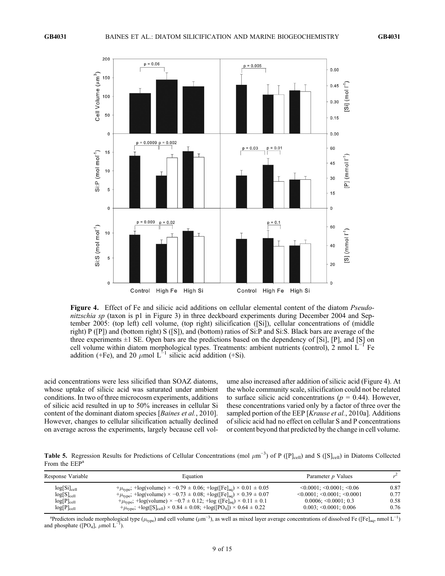

Figure 4. Effect of Fe and silicic acid additions on cellular elemental content of the diatom *Pseudo*nitzschia sp (taxon is p1 in Figure 3) in three deckboard experiments during December 2004 and September 2005: (top left) cell volume, (top right) silicification ([Si]), cellular concentrations of (middle right) P ([P]) and (bottom right) S ([S]), and (bottom) ratios of Si:P and Si:S. Black bars are average of the three experiments  $\pm 1$  SE. Open bars are the predictions based on the dependency of [Si], [P], and [S] on cell volume within diatom morphological types. Treatments: ambient nutrients (control), 2 nmol  $L^{-1}$  Fe addition (+Fe), and 20  $\mu$ mol L<sup>-1</sup> silicic acid addition (+Si).

acid concentrations were less silicified than SOAZ diatoms, whose uptake of silicic acid was saturated under ambient conditions. In two of three microcosm experiments, additions of silicic acid resulted in up to 50% increases in cellular Si content of the dominant diatom species [Baines et al., 2010]. However, changes to cellular silicification actually declined on average across the experiments, largely because cell volume also increased after addition of silicic acid (Figure 4). At the whole community scale, silicification could not be related to surface silicic acid concentrations ( $p = 0.44$ ). However, these concentrations varied only by a factor of three over the sampled portion of the EEP [Krause et al., 2010a]. Additions of silicic acid had no effect on cellular S and P concentrations or content beyond that predicted by the change in cell volume.

Table 5. Regression Results for Predictions of Cellular Concentrations (mol  $\mu$ m<sup>-3</sup>) of P ([P]<sub>cell</sub>) and S ([S]<sub>cell</sub>) in Diatoms Collected From the EEP<sup>a</sup>

| Response Variable               | Equation                                                                                                 | Parameter p Values                            |      |
|---------------------------------|----------------------------------------------------------------------------------------------------------|-----------------------------------------------|------|
| $log[S_i]_{cell}$               | + $\mu_{\text{type}}$ ; +log(volume) × -0.79 ± 0.06; +log([Fe] <sub>aq</sub> ) × 0.01 ± 0.05             | $\leq 0.0001$ ; $\leq 0.0001$ ; $\leq 0.06$   | 0.87 |
| $log[S]_{cell}$                 | + $\mu_{\text{type}}$ ; +log(volume) × -0.73 ± 0.08; +log([Fe] <sub>aq</sub> ) × 0.39 ± 0.07             | $\leq 0.0001$ ; $\leq 0.0001$ ; $\leq 0.0001$ | 0.77 |
| log[ <b>P</b> ] <sub>cell</sub> | + $\mu_{\text{type}}$ ; +log(volume) × -0.7 ± 0.12; +log ([Fe] <sub>aq</sub> ) × 0.11 ± 0.1              | $0.0006$ ; < $0.0001$ ; 0.3                   | 0.58 |
| $log[P]_{cell}$                 | + $\mu_{\text{type}}$ ; +log([S] <sub>cell</sub> ) × 0.84 ± 0.08; +log([PO <sub>4</sub> ]) × 0.64 ± 0.22 | $0.003$ ; < $0.0001$ ; 0.006                  | 0.76 |

<sup>a</sup>Predictors include morphological type ( $\mu_{\text{type}}$ ) and cell volume ( $\mu$ m<sup>-3</sup>), as well as mixed layer average concentrations of dissolved Fe ([Fe]<sub>aq</sub>, nmol L<sup>-1</sup>) and phosphate ([PO<sub>4</sub>],  $\mu$ mol L<sup>−</sup> ).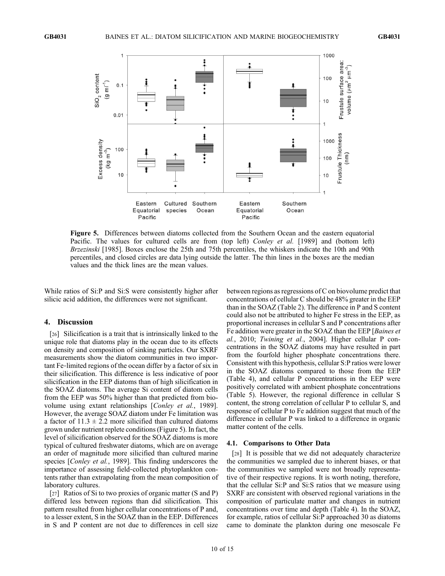

Figure 5. Differences between diatoms collected from the Southern Ocean and the eastern equatorial Pacific. The values for cultured cells are from (top left) *Conley et al.* [1989] and (bottom left) Brzezinski [1985]. Boxes enclose the 25th and 75th percentiles, the whiskers indicate the 10th and 90th percentiles, and closed circles are data lying outside the latter. The thin lines in the boxes are the median values and the thick lines are the mean values.

While ratios of Si:P and Si:S were consistently higher after silicic acid addition, the differences were not significant.

# 4. Discussion

[26] Silicification is a trait that is intrinsically linked to the unique role that diatoms play in the ocean due to its effects on density and composition of sinking particles. Our SXRF measurements show the diatom communities in two important Fe‐limited regions of the ocean differ by a factor of six in their silicification. This difference is less indicative of poor silicification in the EEP diatoms than of high silicification in the SOAZ diatoms. The average Si content of diatom cells from the EEP was 50% higher than that predicted from biovolume using extant relationships [Conley et al., 1989]. However, the average SOAZ diatom under Fe limitation was a factor of  $11.3 \pm 2.2$  more silicified than cultured diatoms grown under nutrient replete conditions (Figure 5). In fact, the level of silicification observed for the SOAZ diatoms is more typical of cultured freshwater diatoms, which are on average an order of magnitude more silicified than cultured marine species [Conley et al., 1989]. This finding underscores the importance of assessing field‐collected phytoplankton contents rather than extrapolating from the mean composition of laboratory cultures.

[27] Ratios of Si to two proxies of organic matter (S and P) differed less between regions than did silicification. This pattern resulted from higher cellular concentrations of P and, to a lesser extent, S in the SOAZ than in the EEP. Differences in S and P content are not due to differences in cell size between regions as regressions of C on biovolume predict that concentrations of cellular C should be 48% greater in the EEP than in the SOAZ (Table 2). The difference in P and S content could also not be attributed to higher Fe stress in the EEP, as proportional increases in cellular S and P concentrations after Fe addition were greater in the SOAZ than the EEP [Baines et al., 2010; Twining et al., 2004]. Higher cellular P concentrations in the SOAZ diatoms may have resulted in part from the fourfold higher phosphate concentrations there. Consistent with this hypothesis, cellular S:P ratios were lower in the SOAZ diatoms compared to those from the EEP (Table 4), and cellular P concentrations in the EEP were positively correlated with ambient phosphate concentrations (Table 5). However, the regional difference in cellular S content, the strong correlation of cellular P to cellular S, and response of cellular P to Fe addition suggest that much of the difference in cellular P was linked to a difference in organic matter content of the cells.

## 4.1. Comparisons to Other Data

[28] It is possible that we did not adequately characterize the communities we sampled due to inherent biases, or that the communities we sampled were not broadly representative of their respective regions. It is worth noting, therefore, that the cellular Si:P and Si:S ratios that we measure using SXRF are consistent with observed regional variations in the composition of particulate matter and changes in nutrient concentrations over time and depth (Table 4). In the SOAZ, for example, ratios of cellular Si:P approached 30 as diatoms came to dominate the plankton during one mesoscale Fe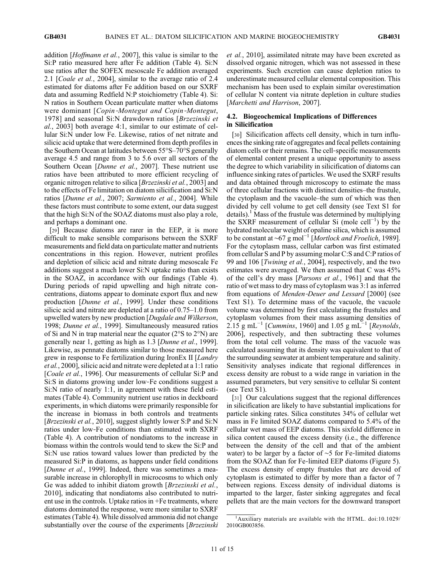addition [Hoffmann et al., 2007], this value is similar to the Si:P ratio measured here after Fe addition (Table 4). Si:N use ratios after the SOFEX mesoscale Fe addition averaged 2.1 [Coale et al., 2004], similar to the average ratio of 2.4 estimated for diatoms after Fe addition based on our SXRF data and assuming Redfield N:P stoichiometry (Table 4). Si: N ratios in Southern Ocean particulate matter when diatoms were dominant [Copin-Montegut and Copin-Montegut, 1978] and seasonal Si:N drawdown ratios [Brzezinski et al., 2003] both average 4:1, similar to our estimate of cellular Si:N under low Fe. Likewise, ratios of net nitrate and silicic acid uptake that were determined from depth profiles in the Southern Ocean at latitudes between 55°S–70°S generally average 4.5 and range from 3 to 5.6 over all sectors of the Southern Ocean [Dunne et al., 2007]. These nutrient use ratios have been attributed to more efficient recycling of organic nitrogen relative to silica [Brzezinski et al., 2003] and to the effects of Fe limitation on diatom silicification and Si:N ratios [Dunne et al., 2007; Sarmiento et al., 2004]. While these factors must contribute to some extent, our data suggest that the high Si:N of the SOAZ diatoms must also play a role, and perhaps a dominant one.

[29] Because diatoms are rarer in the EEP, it is more difficult to make sensible comparisons between the SXRF measurements and field data on particulate matter and nutrients concentrations in this region. However, nutrient profiles and depletion of silicic acid and nitrate during mesoscale Fe additions suggest a much lower Si:N uptake ratio than exists in the SOAZ, in accordance with our findings (Table 4). During periods of rapid upwelling and high nitrate concentrations, diatoms appear to dominate export flux and new production [Dunne et al., 1999]. Under these conditions silicic acid and nitrate are depleted at a ratio of 0.75–1.0 from upwelled waters by new production [Dugdale and Wilkerson, 1998; Dunne et al., 1999]. Simultaneously measured ratios of Si and N in trap material near the equator (2°S to 2°N) are generally near 1, getting as high as 1.3 [Dunne et al., 1999]. Likewise, as pennate diatoms similar to those measured here grew in response to Fe fertilization during IronEx II [Landry et al., 2000], silicic acid and nitrate were depleted at a 1:1 ratio [*Coale et al.*, 1996]. Our measurements of cellular Si:P and Si:S in diatoms growing under low‐Fe conditions suggest a Si:N ratio of nearly 1:1, in agreement with these field estimates (Table 4). Community nutrient use ratios in deckboard experiments, in which diatoms were primarily responsible for the increase in biomass in both controls and treatments [*Brzezinski et al.*, 2010], suggest slightly lower S:P and Si:N ratios under low‐Fe conditions than estimated with SXRF (Table 4). A contribution of nondiatoms to the increase in biomass within the controls would tend to skew the Si:P and Si:N use ratios toward values lower than predicted by the measured Si:P in diatoms, as happens under field conditions [Dunne et al., 1999]. Indeed, there was sometimes a measurable increase in chlorophyll in microcosms to which only Ge was added to inhibit diatom growth [*Brzezinski et al.*, 2010], indicating that nondiatoms also contributed to nutrient use in the controls. Uptake ratios in +Fe treatments, where diatoms dominated the response, were more similar to SXRF estimates (Table 4). While dissolved ammonia did not change substantially over the course of the experiments [Brzezinski

et al., 2010], assimilated nitrate may have been excreted as dissolved organic nitrogen, which was not assessed in these experiments. Such excretion can cause depletion ratios to underestimate measured cellular elemental composition. This mechanism has been used to explain similar overestimation of cellular N content via nitrate depletion in culture studies [Marchetti and Harrison, 2007].

# 4.2. Biogeochemical Implications of Differences in Silicification

[30] Silicification affects cell density, which in turn influences the sinking rate of aggregates and fecal pellets containing diatom cells or their remains. The cell‐specific measurements of elemental content present a unique opportunity to assess the degree to which variability in silicification of diatoms can influence sinking rates of particles. We used the SXRF results and data obtained through microscopy to estimate the mass of three cellular fractions with distinct densities–the frustule, the cytoplasm and the vacuole–the sum of which was then divided by cell volume to get cell density (see Text S1 for details).<sup>1</sup> Mass of the frustule was determined by multiplying the SXRF measurement of cellular Si (mole cell<sup>-1</sup>) by the hydrated molecular weight of opaline silica, which is assumed to be constant at ~67 g mol<sup>-1</sup> [*Mortlock and Froelich*, 1989]. For the cytoplasm mass, cellular carbon was first estimated from cellular S and P by assuming molar C:S and C:P ratios of 99 and 106 [Twining et al., 2004], respectively, and the two estimates were averaged. We then assumed that C was 45% of the cell's dry mass [Parsons et al., 1961] and that the ratio of wet mass to dry mass of cytoplasm was 3:1 as inferred from equations of Menden-Deuer and Lessard [2000] (see Text S1). To determine mass of the vacuole, the vacuole volume was determined by first calculating the frustules and cytoplasm volumes from their mass assuming densities of 2.15 g mL<sup>-1</sup> [Cummins, 1960] and 1.05 g mL<sup>-1</sup> [Reynolds, 2006], respectively, and then subtracting these volumes from the total cell volume. The mass of the vacuole was calculated assuming that its density was equivalent to that of the surrounding seawater at ambient temperature and salinity. Sensitivity analyses indicate that regional differences in excess density are robust to a wide range in variation in the assumed parameters, but very sensitive to cellular Si content (see Text S1).

[31] Our calculations suggest that the regional differences in silicification are likely to have substantial implications for particle sinking rates. Silica constitutes 34% of cellular wet mass in Fe limited SOAZ diatoms compared to 5.4% of the cellular wet mass of EEP diatoms. This sixfold difference in silica content caused the excess density (i.e., the difference between the density of the cell and that of the ambient water) to be larger by a factor of ∼5 for Fe-limited diatoms from the SOAZ than for Fe‐limited EEP diatoms (Figure 5). The excess density of empty frustules that are devoid of cytoplasm is estimated to differ by more than a factor of 7 between regions. Excess density of individual diatoms is imparted to the larger, faster sinking aggregates and fecal pellets that are the main vectors for the downward transport

<sup>&</sup>lt;sup>1</sup>Auxiliary materials are available with the HTML. doi:10.1029/ 2010GB003856.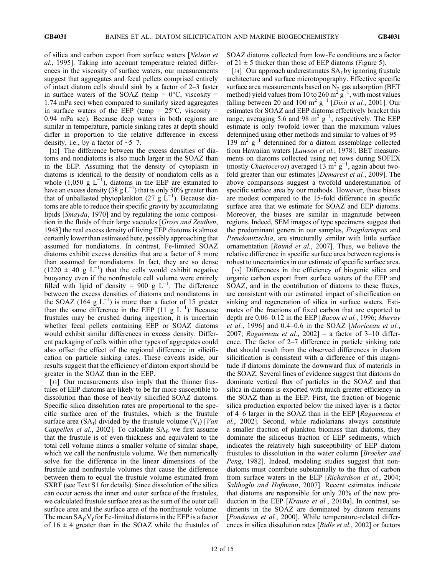of silica and carbon export from surface waters [Nelson et al., 1995]. Taking into account temperature related differences in the viscosity of surface waters, our measurements suggest that aggregates and fecal pellets comprised entirely of intact diatom cells should sink by a factor of 2–3 faster in surface waters of the SOAZ (temp =  $0^{\circ}$ C, viscosity = 1.74 mPa sec) when compared to similarly sized aggregates in surface waters of the EEP (temp =  $25^{\circ}$ C, viscosity = 0.94 mPa sec). Because deep waters in both regions are similar in temperature, particle sinking rates at depth should differ in proportion to the relative difference in excess density, i.e., by a factor of ∼5–7.

[32] The difference between the excess densities of diatoms and nondiatoms is also much larger in the SOAZ than in the EEP. Assuming that the density of cytoplasm in diatoms is identical to the density of nondiatom cells as a whole (1,050 g  $L^{-1}$ ), diatoms in the EEP are estimated to have an excess density (38 g  $L^{-1}$ ) that is only 50% greater than that of unballasted phytoplankton (27 g  $\text{L}^{-1}$ ). Because diatoms are able to reduce their specific gravity by accumulating lipids [Smayda, 1970] and by regulating the ionic composition in the fluids of their large vacuoles [Gross and Zeuthen, 1948] the real excess density of living EEP diatoms is almost certainly lower than estimated here, possibly approaching that assumed for nondiatoms. In contrast, Fe‐limited SOAZ diatoms exhibit excess densities that are a factor of 8 more than assumed for nondiatoms. In fact, they are so dense  $(1220 \pm 40 \text{ g L}^{-1})$  that the cells would exhibit negative buoyancy even if the nonfrustule cell volume were entirely filled with lipid of density = 900 g  $L^{-1}$ . The difference between the excess densities of diatoms and nondiatoms in the SOAZ (164  $g L^{-1}$ ) is more than a factor of 15 greater than the same difference in the EEP (11 g  $L^{-1}$ ). Because frustules may be crushed during ingestion, it is uncertain whether fecal pellets containing EEP or SOAZ diatoms would exhibit similar differences in excess density. Different packaging of cells within other types of aggregates could also offset the effect of the regional difference in silicification on particle sinking rates. These caveats aside, our results suggest that the efficiency of diatom export should be greater in the SOAZ than in the EEP.

[33] Our measurements also imply that the thinner frustules of EEP diatoms are likely to be far more susceptible to dissolution than those of heavily silicified SOAZ diatoms. Specific silica dissolution rates are proportional to the specific surface area of the frustules, which is the frustule surface area (SA<sub>f</sub>) divided by the frustule volume (V<sub>f</sub>) [Van Cappellen et al., 2002]. To calculate  $SA<sub>f</sub>$ , we first assume that the frustule is of even thickness and equivalent to the total cell volume minus a smaller volume of similar shape, which we call the nonfrustule volume. We then numerically solve for the difference in the linear dimensions of the frustule and nonfrustule volumes that cause the difference between them to equal the frustule volume estimated from SXRF (see Text S1 for details). Since dissolution of the silica can occur across the inner and outer surface of the frustules, we calculated frustule surface area as the sum of the outer cell surface area and the surface area of the nonfrustule volume. The mean  $SA_f:V_f$  for Fe-limited diatoms in the EEP is a factor of  $16 \pm 4$  greater than in the SOAZ while the frustules of SOAZ diatoms collected from low‐Fe conditions are a factor of  $21 \pm 5$  thicker than those of EEP diatoms (Figure 5).

[34] Our approach underestimates  $SA_f$  by ignoring frustule architecture and surface microtopography. Effective specific surface area measurements based on  $N_2$  gas adsorption (BET method) yield values from 10 to 260 m<sup>2</sup> g<sup>-1</sup>, with most values falling between 20 and 100 m<sup>2</sup> g<sup>-1</sup> [Dixit et al., 2001]. Our estimates for SOAZ and EEP diatoms effectively bracket this range, averaging 5.6 and 98 m<sup>2</sup>  $g^{-1}$ , respectively. The EEP estimate is only twofold lower than the maximum values determined using other methods and similar to values of 95– 139 m<sup>2</sup> g<sup> $-1$ </sup> determined for a diatom assemblage collected from Hawaiian waters [Lawson et al., 1978]. BET measurements on diatoms collected using net tows during SOFEX (mostly Chaetoceros) averaged  $13 \text{ m}^2 \text{ g}^{-1}$ , again about twofold greater than our estimates [*Demarest et al.*, 2009]. The above comparisons suggest a twofold underestimation of specific surface area by our methods. However, these biases are modest compared to the 15‐fold difference in specific surface area that we estimate for SOAZ and EEP diatoms. Moreover, the biases are similar in magnitude between regions. Indeed, SEM images of type specimens suggest that the predominant genera in our samples, Fragilariopsis and Pseudonitzschia, are structurally similar with little surface ornamentation [Round et al., 2007]. Thus, we believe the relative difference in specific surface area between regions is robust to uncertainties in our estimate of specific surface area.

[35] Differences in the efficiency of biogenic silica and organic carbon export from surface waters of the EEP and SOAZ, and in the contribution of diatoms to these fluxes, are consistent with our estimated impact of silicification on sinking and regeneration of silica in surface waters. Estimates of the fractions of fixed carbon that are exported to depth are 0.06–0.12 in the EEP [Bacon et al., 1996; Murray et al., 1996] and 0.4–0.6 in the SOAZ [Moriceau et al., 2007; Ragueneau et al.,  $2002$ ] – a factor of 3–10 difference. The factor of 2–7 difference in particle sinking rate that should result from the observed differences in diatom silicification is consistent with a difference of this magnitude if diatoms dominate the downward flux of materials in the SOAZ. Several lines of evidence suggest that diatoms do dominate vertical flux of particles in the SOAZ and that silica in diatoms is exported with much greater efficiency in the SOAZ than in the EEP. First, the fraction of biogenic silica production exported below the mixed layer is a factor of 4–6 larger in the SOAZ than in the EEP [Ragueneau et al., 2002]. Second, while radiolarians always constitute a smaller fraction of plankton biomass than diatoms, they dominate the siliceous fraction of EEP sediments, which indicates the relatively high susceptibility of EEP diatom frustules to dissolution in the water column [Broeker and Peng, 1982]. Indeed, modeling studies suggest that nondiatoms must contribute substantially to the flux of carbon from surface waters in the EEP [Richardson et al., 2004; Salihoglu and Hofmann, 2007]. Recent estimates indicate that diatoms are responsible for only 20% of the new production in the EEP [*Krause et al.*, 2010a]. In contrast, sediments in the SOAZ are dominated by diatom remains [Pondaven et al., 2000]. While temperature-related differences in silica dissolution rates [Bidle et al., 2002] or factors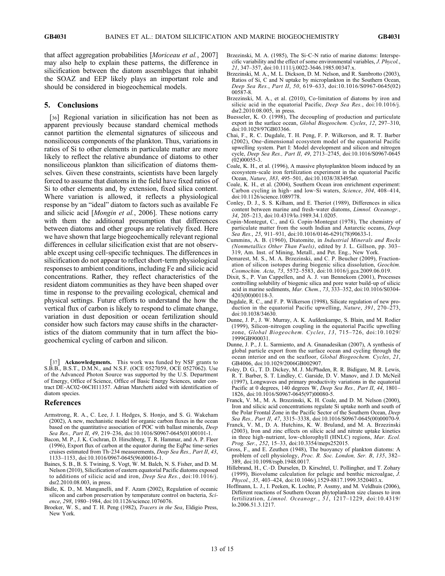that affect aggregation probabilities [Moriceau et al., 2007] may also help to explain these patterns, the difference in silicification between the diatom assemblages that inhabit the SOAZ and EEP likely plays an important role and should be considered in biogeochemical models.

# 5. Conclusions

[36] Regional variation in silicification has not been as apparent previously because standard chemical methods cannot partition the elemental signatures of siliceous and nonsiliceous components of the plankton. Thus, variations in ratios of Si to other elements in particulate matter are more likely to reflect the relative abundance of diatoms to other nonsiliceous plankton than silicification of diatoms themselves. Given these constraints, scientists have been largely forced to assume that diatoms in the field have fixed ratios of Si to other elements and, by extension, fixed silica content. Where variation is allowed, it reflects a physiological response by an "ideal" diatom to factors such as available Fe and silicic acid [Mongin et al., 2006]. These notions carry with them the additional presumption that differences between diatoms and other groups are relatively fixed. Here we have shown that large biogeochemically relevant regional differences in cellular silicification exist that are not observable except using cell‐specific techniques. The differences in silicification do not appear to reflect short‐term physiological responses to ambient conditions, including Fe and silicic acid concentrations. Rather, they reflect characteristics of the resident diatom communities as they have been shaped over time in response to the prevailing ecological, chemical and physical settings. Future efforts to understand the how the vertical flux of carbon is likely to respond to climate change, variation in dust deposition or ocean fertilization should consider how such factors may cause shifts in the characteristics of the diatom community that in turn affect the biogeochemical cycling of carbon and silicon.

[37] **Acknowledgments.** This work was funded by NSF grants to S.B.B., B.S.T., D.M.N., and N.S.F. (OCE 0527059, OCE 0527062). Use of the Advanced Photon Source was supported by the U.S. Department of Energy, Office of Science, Office of Basic Energy Sciences, under contract DE‐AC02‐06CH11357. Adrian Marchetti aided with identification of diatom species.

# References

- Armstrong, R. A., C. Lee, J. I. Hedges, S. Honjo, and S. G. Wakeham (2002), A new, mechanistic model for organic carbon fluxes in the ocean based on the quantitative association of POC with ballast minerals, Deep Sea Res., Part II, 49, 219–236, doi:10.1016/S0967-0645(01)00101-1.
- Bacon, M. P., J. K. Cochran, D. Hirschberg, T. R. Hammar, and A. P. Fleer (1996), Export flux of carbon at the equator during the EqPac time‐series cruises estimated from Th‐234 measurements, Deep Sea Res., Part II, 43, 1133–1153, doi:10.1016/0967-0645(96)00016-1.
- Baines, S. B., B. S. Twining, S. Vogt, W. M. Balch, N. S. Fisher, and D. M. Nelson (2010), Silicification of eastern equatorial Pacific diatoms exposed to additions of silicic acid and iron, Deep Sea Res., doi:10.1016/j. dsr2.2010.08.003, in press.
- Bidle, K. D., M. Manganelli, and F. Azam (2002), Regulation of oceanic silicon and carbon preservation by temperature control on bacteria, Science, 298, 1980–1984, doi:10.1126/science.1076076.
- Broeker, W. S., and T. H. Peng (1982), Tracers in the Sea, Eldigio Press, New York.
- Brzezinski, M. A. (1985), The Si‐C‐N ratio of marine diatoms: Interspecific variability and the effect of some environmental variables, J. Phycol., 21, 347–357, doi:10.1111/j.0022-3646.1985.00347.x.
- Brzezinski, M. A., M. L. Dickson, D. M. Nelson, and R. Sambrotto (2003), Ratios of Si, C and N uptake by microplankton in the Southern Ocean, Deep Sea Res., Part II, 50, 619–633, doi:10.1016/S0967-0645(02) 00587-8.
- Brzezinski, M. A., et al. (2010), Co-limitation of diatoms by iron and silicic acid in the equatorial Pacific, Deep Sea Res., doi:10.1016/j. dsr2.2010.08.005, in press.
- Buesseler, K. O. (1998), The decoupling of production and particulate export in the surface ocean, Global Biogeochem. Cycles, 12, 297-310, doi:10.1029/97GB03366.
- Chai, F., R. C. Dugdale, T. H. Peng, F. P. Wilkerson, and R. T. Barber (2002), One‐dimensional ecosystem model of the equatorial Pacific upwelling system. Part I: Model development and silicon and nitrogen cycle, Deep Sea Res., Part II, 49, 2713–2745, doi:10.1016/S0967-0645 (02)00055-3.
- Coale, K. H., et al. (1996), A massive phytoplankton bloom induced by an ecosystem‐scale iron fertilization experiment in the equatorial Pacific Ocean, Nature, 383, 495–501, doi:10.1038/383495a0.
- Coale, K. H., et al. (2004), Southern Ocean iron enrichment experiment: Carbon cycling in high- and low-Si waters, Science, 304, 408-414, doi:10.1126/science.1089778.
- Conley, D. J., S. S. Kilham, and E. Theriot (1989), Differences in silica content between marine and fresh-water diatoms, Limnol. Oceanogr., 34, 205–213, doi:10.4319/lo.1989.34.1.0205.
- Copin‐Montegut, C., and G. Copin‐Montegut (1978), The chemistry of particulate matter from the south Indian and Antarctic oceans, Deep Sea Res., 25, 911–931, doi:10.1016/0146-6291(78)90633-1.
- Cummins, A. B. (1960), Diatomite, in Industrial Minerals and Rocks (Nonmetallics Other Than Fuels), edited by J. L. Gillson, pp. 303– 319, Am. Inst. of Mining, Metall., and Pet. Eng., New York.
- Demarest, M. S., M. A. Brzezinski, and C. P. Beucher (2009), Fractionation of silicon isotopes during biogenic silica dissolution, Geochim. Cosmochim. Acta, 73, 5572–5583, doi:10.1016/j.gca.2009.06.019.
- Dixit, S., P. Van Cappellen, and A. J. van Bennekom (2001), Processes controlling solubility of biogenic silica and pore water build‐up of silicic acid in marine sediments, Mar. Chem., 73, 333–352, doi:10.1016/S0304- 4203(00)00118-3.
- Dugdale, R. C., and F. P. Wilkerson (1998), Silicate regulation of new production in the equatorial Pacific upwelling, Nature, 391, 270–273, doi:10.1038/34630.
- Dunne, J. P., J. W. Murray, A. K. Aufdenkampe, S. Blain, and M. Rodier (1999), Silicon‐nitrogen coupling in the equatorial Pacific upwelling zone, Global Biogeochem. Cycles, 13, 715–726, doi:10.1029/ 1999GB900031.
- Dunne, J. P., J. L. Sarmiento, and A. Gnanadesikan (2007), A synthesis of global particle export from the surface ocean and cycling through the ocean interior and on the seafloor, Global Biogeochem. Cycles, 21, GB4006, doi:10.1029/2006GB002907.
- Foley, D. G., T. D. Dickey, M. J. McPhaden, R. R. Bidigare, M. R. Lewis, R. T. Barber, S. T. Lindley, C. Garside, D. V. Manov, and J. D. McNeil (1997), Longwaves and primary productivity variations in the equatorial Pacific at 0 degrees, 140 degrees W, Deep Sea Res., Part II, 44, 1801– 1826, doi:10.1016/S0967-0645(97)00080-5.
- Franck, V. M., M. A. Brzezinski, K. H. Coale, and D. M. Nelson (2000), Iron and silicic acid concentrations regulate Si uptake north and south of the Polar Frontal Zone in the Pacific Sector of the Southern Ocean, Deep Sea Res., Part II, 47, 3315-3338, doi:10.1016/S0967-0645(00)00070-9.
- Franck, V. M., D. A. Hutchins, K. W. Bruland, and M. A. Brzezinski (2003), Iron and zinc effects on silicic acid and nitrate uptake kinetics in three high-nutrient, low-chlorophyll (HNLC) regions, Mar. Ecol. Prog. Ser., 252, 15–33, doi:10.3354/meps252015.
- Gross, F., and E. Zeuthen (1948), The buoyancy of plankton diatoms: A problem of cell physiology, Proc. R. Soc. London, Ser. B, 135, 382-389, doi:10.1098/rspb.1948.0017.
- Hillebrand, H., C.‐D. Durselen, D. Kirschtel, U. Pollingher, and T. Zohary (1999), Biovolume calculation for pelagic and benthic microalgae, J. Phycol., 35, 403-424, doi:10.1046/j.1529-8817.1999.3520403.x.
- Hoffmann, L. J., I. Peeken, K. Lochte, P. Assmy, and M. Veldhuis (2006), Different reactions of Southern Ocean phytoplankton size classes to iron fertilization, Limnol. Oceanogr.,  $51$ ,  $1217-1229$ , doi:10.4319/ lo.2006.51.3.1217.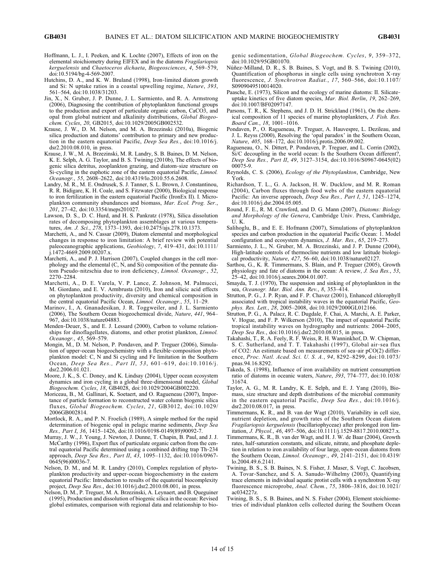- Hoffmann, L. J., I. Peeken, and K. Lochte (2007), Effects of iron on the elemental stoichiometry during EIFEX and in the diatoms Fragilariopsis kerguelensis and Chaetoceros dichaeta, Biogeosciences, 4, 569–579, doi:10.5194/bg-4-569-2007.
- Hutchins, D. A., and K. W. Bruland (1998), Iron-limited diatom growth and Si: N uptake ratios in a coastal upwelling regime, Nature, 393, 561–564, doi:10.1038/31203.
- Jin, X., N. Gruber, J. P. Dunne, J. L. Sarmiento, and R. A. Armstrong (2006), Diagnosing the contribution of phytoplankton functional groups to the production and export of particulate organic carbon, CaCO3, and opal from global nutrient and alkalinity distributions, Global Biogeochem. Cycles, 20, GB2015, doi:10.1029/2005GB002532.
- Krause, J. W., D. M. Nelson, and M. A. Brzezinski (2010a), Biogenic silica production and diatoms' contribution to primary and new production in the eastern equatorial Pacific, Deep Sea Res., doi:10.1016/j. dsr2.2010.08.010, in press.
- Krause, J. W., M. A. Brzezinski, M. R. Landry, S. B. Baines, D. M. Nelson, K. E. Selph, A. G. Taylor, and B. S. Twining (2010b), The effects of biogenic silica detritus, zooplankton grazing, and diatom‐size structure on Si-cycling in the euphotic zone of the eastern equatorial Pacific, Limnol. Oceanogr., 55, 2608–2622, doi:10.4319/lo.2010.55.6.2608.
- Landry, M. R., M. E. Ondrusek, S. J. Tanner, S. L. Brown, J. Constantinou, R. R. Bidigare, K. H. Coale, and S. Fitzwater (2000), Biological response to iron fertilization in the eastern equatorial Pacific (IronEx II). I. Microplankton community abundances and biomass, Mar. Ecol. Prog. Ser., 201, 27–42, doi:10.3354/meps201027.
- Lawson, D. S., D. C. Hurd, and H. S. Pankratz (1978), Silica dissolution rates of decomposing phytoplankton assemblages at various temperatures, Am. J. Sci., 278, 1373–1393, doi:10.2475/ajs.278.10.1373.
- Marchetti, A., and N. Cassar (2009), Diatom elemental and morphological changes in response to iron limitation: A brief review with potential paleoceanographic applications, Geobiology, 7, 419-431, doi:10.1111/ j.1472-4669.2009.00207.x.
- Marchetti, A., and P. J. Harrison (2007), Coupled changes in the cell morphology and the elemental (C, N, and Si) composition of the pennate diatom Pseudo-nitzschia due to iron deficiency, Limnol. Oceanogr., 52, 2270–2284.
- Marchetti, A., D. E. Varela, V. P. Lance, Z. Johnson, M. Palmucci, M. Giordano, and E. V. Armbrusta (2010), Iron and silicic acid effects on phytoplankton productivity, diversity and chemical composition in the central equatorial Pacific Ocean, Limnol. Oceanogr., 55, 11–29.
- Marinov, I., A. Gnanadesikan, J. R. Toggweiler, and J. L. Sarmiento (2006), The Southern Ocean biogeochemical divide, Nature, 441, 964– 967, doi:10.1038/nature04883.
- Menden‐Deuer, S., and E. J. Lessard (2000), Carbon to volume relationships for dinoflagellates, diatoms, and other protist plankton, Limnol. Oceanogr., 45, 569–579.
- Mongin, M., D. M. Nelson, P. Pondaven, and P. Treguer (2006), Simulation of upper‐ocean biogeochemistry with a flexible‐composition phytoplankton model: C, N and Si cycling and Fe limitation in the Southern Ocean, Deep Sea Res., Part II, 53, 601–619, doi:10.1016/j. dsr2.2006.01.021.
- Moore, J. K., S. C. Doney, and K. Lindsay (2004), Upper ocean ecosystem dynamics and iron cycling in a global three-dimensional model, Global Biogeochem. Cycles, 18, GB4028, doi:10.1029/2004GB002220.
- Moriceau, B., M. Gallinari, K. Soetaert, and O. Ragueneau (2007), Importance of particle formation to reconstructed water column biogenic silica fluxes, Global Biogeochem. Cycles, 21, GB3012, doi:10.1029/ 2006GB002814.
- Mortlock, R. A., and P. N. Froelich (1989), A simple method for the rapid determination of biogenic opal in pelagic marine sediments, Deep Sea Res., Part I, 36, 1415–1426, doi:10.1016/0198-0149(89)90092-7.
- Murray, J. W., J. Young, J. Newton, J. Dunne, T. Chapin, B. Paul, and J. J. McCarthy (1996), Export flux of particulate organic carbon from the central equatorial Pacific determined using a combined drifting trap Th‐234 approach, Deep Sea Res., Part II, 43, 1095–1132, doi:10.1016/0967- 0645(96)00036-7.
- Nelson, D. M., and M. R. Landry (2010), Complex regulation of phytoplankton productivity and upper‐ocean biogeochemistry in the eastern equatorial Pacific: Introduction to results of the equatorial biocomplexity project, Deep Sea Res., doi:10.1016/j.dsr2.2010.08.001, in press.
- Nelson, D. M., P. Treguer, M. A. Brzezinski, A. Leynaert, and B. Queguiner (1995), Production and dissolution of biogenic silica in the ocean: Revised global estimates, comparison with regional data and relationship to bio-

genic sedimentation, Global Biogeochem. Cycles, 9, 359–372, doi:10.1029/95GB01070.

- Núñez‐Milland, D. R., S. B. Baines, S. Vogt, and B. S. Twining (2010), Quantification of phosphorus in single cells using synchrotron X‐ray fluorescence, J. Synchrotron Radiat., 17, 560–566, doi:10.1107/ S0909049510014020.
- Paasche, E. (1973), Silicon and the ecology of marine diatoms: II. Silicate‐ uptake kinetics of five diatom species, Mar. Biol. Berlin, 19, 262–269, doi:10.1007/BF02097147.
- Parsons, T. R., K. Stephens, and J. D. H. Strickland (1961), On the chemical composition of 11 species of marine phytoplankters, J. Fish. Res. Board Can., 18,  $1001-1016$ .
- Pondaven, P., O. Ragueneau, P. Treguer, A. Hauvespre, L. Dezileau, and J. L. Reyss (2000), Resolving the 'opal paradox' in the Southern Ocean, Nature, 405, 168–172, doi:10.1016/j.protis.2006.09.002.
- Ragueneau, O., N. Dittert, P. Pondaven, P. Treguer, and L. Corrin (2002), Si/C decoupling in the world ocean: Is the Southern Ocean different?, Deep Sea Res., Part II, 49, 3127–3154, doi:10.1016/S0967-0645(02) 00075-9.
- Reynolds, C. S. (2006), Ecology of the Phytoplankton, Cambridge, New York.
- Richardson, T. L., G. A. Jackson, H. W. Ducklow, and M. R. Roman (2004), Carbon fluxes through food webs of the eastern equatorial Pacific: An inverse approach, Deep Sea Res., Part I, 51, 1245–1274, doi:10.1016/j.dsr.2004.05.005.
- Round, F. E., R. M. Crawford, and D. G. Mann (2007), *Diatoms: Biology* and Morphology of the Genera, Cambridge Univ. Press, Cambridge, U. K.
- Salihoglu, B., and E. E. Hofmann (2007), Simulations of phytoplankton species and carbon production in the equatorial Pacific Ocean: 1. Model configuration and ecosystem dynamics, J. Mar. Res., 65, 219–273.
- Sarmiento, J. L., N. Gruber, M. A. Brzezinski, and J. P. Dunne (2004), High-latitude controls of thermocline nutrients and low latitude biological productivity, Nature, 427, 56–60, doi:10.1038/nature02127.
- Sarthou, G., K. R. Timmermans, S. Blain, and P. Treguer (2005), Growth physiology and fate of diatoms in the ocean: A review, J. Sea Res., 53, 25–42, doi:10.1016/j.seares.2004.01.007.
- Smayda, T. J. (1970), The suspension and sinking of phytoplankton in the sea, Oceanogr. Mar. Biol. Ann. Rev., 8, 353–414.
- Strutton, P. G., J. P. Ryan, and F. P. Chavez (2001), Enhanced chlorophyll associated with tropical instability waves in the equatorial Pacific, Geophys. Res. Lett., 28, 2005–2008, doi:10.1029/2000GL012166.
- Strutton, P. G., A. Palacz, R. C. Dugdale, F. Chai, A. Marchi, A. E. Parker, V. Hogue, and F. P. Wilkerson (2010), The impact of equatorial Pacific tropical instability waves on hydrography and nutrients: 2004–2005, Deep Sea Res., doi:10.1016/j.dsr2.2010.08.015, in press.
- Takahashi, T., R. A. Feely, R. F. Weiss, R. H. Wanninkhof, D. W. Chipman, S. C. Sutherland, and T. T. Takahashi (1997), Global air‐sea flux of CO2: An estimate based on measurements of sea‐air pCO(2) difference, Proc. Natl. Acad. Sci. U. S. A., 94, 8292–8299, doi:10.1073/ pnas.94.16.8292.
- Takeda, S. (1998), Influence of iron availability on nutrient consumption ratio of diatoms in oceanic waters, Nature, 393, 774–777, doi:10.1038/ 31674.
- Taylor, A. G., M. R. Landry, K. E. Selph, and E. J. Yang (2010), Biomass, size structure and depth distributions of the microbial community in the eastern equatorial Pacific, Deep Sea Res., doi:10.1016/j. dsr2.2010.08.017, in press.
- Timmermans, K. R., and B. van der Wagt (2010), Variability in cell size, nutrient depletion, and growth rates of the Southern Ocean diatom Fragilariopsis kerguelensis (bacillariophyceae) after prolonged iron limitation, J. Phycol., 46, 497–506, doi:10.1111/j.1529-8817.2010.00827.x.
- Timmermans, K. R., B. van der Wagt, and H. J. W. de Baar (2004), Growth rates, half‐saturation constants, and silicate, nitrate, and phosphate depletion in relation to iron availability of four large, open-ocean diatoms from the Southern Ocean, Limnol. Oceanogr., 49, 2141–2151, doi:10.4319/ lo.2004.49.6.2141.
- Twining, B. S., S. B. Baines, N. S. Fisher, J. Maser, S. Vogt, C. Jacobsen, A. Tovar‐Sanchez, and S. A. Sanudo‐Wilhelmy (2003), Quantifying trace elements in individual aquatic protist cells with a synchrotron X‐ray fluorescence microprobe, Anal. Chem., 75, 3806–3816, doi:10.1021/ ac034227z.
- Twining, B. S., S. B. Baines, and N. S. Fisher (2004), Element stoichiometries of individual plankton cells collected during the Southern Ocean